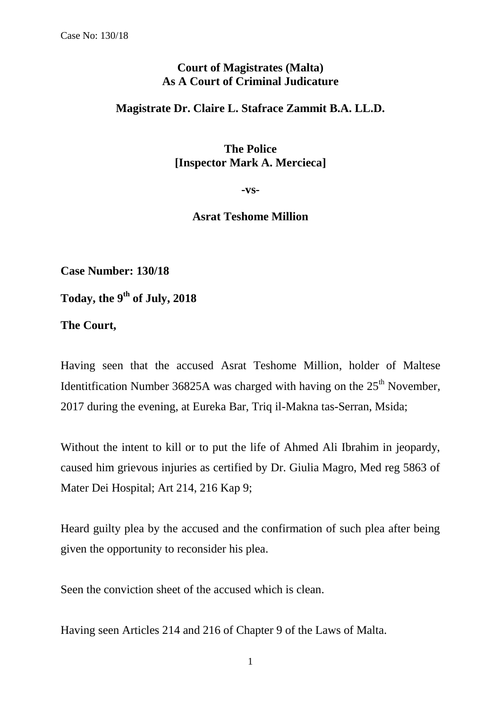## **Court of Magistrates (Malta) As A Court of Criminal Judicature**

## **Magistrate Dr. Claire L. Stafrace Zammit B.A. LL.D.**

**The Police [Inspector Mark A. Mercieca]**

**-vs-**

## **Asrat Teshome Million**

**Case Number: 130/18**

**Today, the 9 th of July, 2018**

**The Court,**

Having seen that the accused Asrat Teshome Million, holder of Maltese Identitication Number 36825A was charged with having on the  $25<sup>th</sup>$  November, 2017 during the evening, at Eureka Bar, Triq il-Makna tas-Serran, Msida;

Without the intent to kill or to put the life of Ahmed Ali Ibrahim in jeopardy, caused him grievous injuries as certified by Dr. Giulia Magro, Med reg 5863 of Mater Dei Hospital; Art 214, 216 Kap 9;

Heard guilty plea by the accused and the confirmation of such plea after being given the opportunity to reconsider his plea.

Seen the conviction sheet of the accused which is clean.

Having seen Articles 214 and 216 of Chapter 9 of the Laws of Malta.